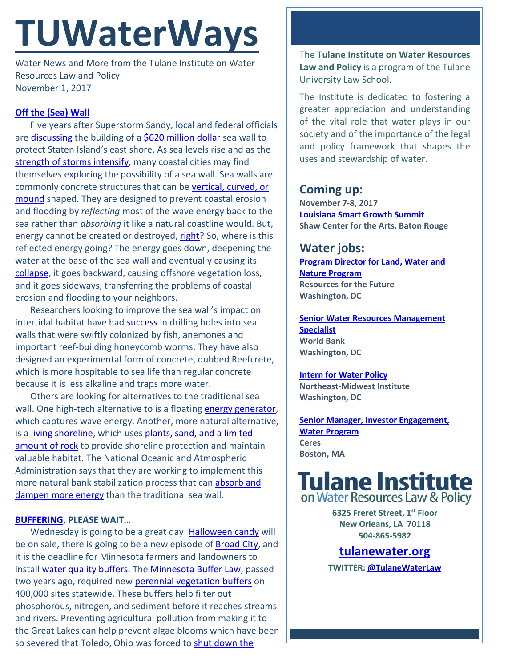# **TUWaterWays**

Water News and More from the Tulane Institute on Water Resources Law and Policy November 1, 2017

## **[Off the \(Sea\) Wall](https://youtu.be/B3MFbhwfEXU)**

Five years after Superstorm Sandy, local and federal officials are [discussing](http://abcnews.go.com/Technology/wireStory/years-superstorm-sandy-lessons-sunk-50759156) the building of a [\\$620 million dollar](http://abc7ny.com/officials-discuss-$620m-seawall-plan-for-staten-island-on-sandys-5th-anniversary/2580475/) sea wall to protect Staten Island's east shore. As sea levels rise and as the [strength of storms intensify,](https://www.washingtonpost.com/news/energy-environment/wp/2017/10/23/new-yorks-future-could-feature-hurricanes-atop-drastically-higher-seas-scientists-warn/?utm_term=.2bd545461963) many coastal cities may find themselves exploring the possibility of a sea wall. Sea walls are commonly concrete structures that can be [vertical, curved, or](https://media.licdn.com/mpr/mpr/AAEAAQAAAAAAAAgFAAAAJDg2OWI2YWQxLTlkNGMtNDMzZi1iNDUyLThlYmI3MDE0MDNiYQ.jpg)  [mound](https://media.licdn.com/mpr/mpr/AAEAAQAAAAAAAAgFAAAAJDg2OWI2YWQxLTlkNGMtNDMzZi1iNDUyLThlYmI3MDE0MDNiYQ.jpg) shaped. They are designed to prevent coastal erosion and flooding by *reflecting* most of the wave energy back to the sea rather than *absorbing* it like a natural coastline would. But, energy cannot be created or destroyed, [right?](http://web.mit.edu/16.unified/www/FALL/thermodynamics/notes/node15.html) So, where is this reflected energy going? The energy goes down, deepening the water at the base of the sea wall and eventually causing its [collapse,](http://3xa3sn2xtr6117bb6o2m6zwf8ea.wpengine.netdna-cdn.com/files/2013/08/Seawalls-illustration-undermining-08-2013-edit.jpg) it goes backward, causing offshore vegetation loss, and it goes sideways, transferring the problems of coastal erosion and flooding to your neighbors.

Researchers looking to improve the sea wall's impact on intertidal habitat have had **success** in drilling holes into sea walls that were swiftly colonized by fish, anemones and important reef-building honeycomb worms. They have also designed an experimental form of concrete, dubbed Reefcrete, which is more hospitable to sea life than regular concrete because it is less alkaline and traps more water.

Others are looking for alternatives to the traditional sea wall. One high-tech alternative to is a floatin[g energy generator,](https://inhabitat.com/waterstudios-floating-sea-wall-harvests-blue-energy-from-crashing-water/) which captures wave energy. Another, more natural alternative, is a [living shoreline,](http://www.habitat.noaa.gov/restoration/techniques/livingshorelines.html) which uses [plants, sand, and a limited](http://nhblog.stormsmart.org/files/2016/10/livingshorelines_coastal.jpg)  [amount](http://nhblog.stormsmart.org/files/2016/10/livingshorelines_coastal.jpg) of rock to provide shoreline protection and maintain valuable habitat. The National Oceanic and Atmospheric Administration says that they are working to implement this more natural bank stabilization process that can [absorb and](https://oceanservice.noaa.gov/podcast/apr16/dd65-living-shorelines.html)  [dampen more energy](https://oceanservice.noaa.gov/podcast/apr16/dd65-living-shorelines.html) than the traditional sea wall.

### **[BUFFERING,](https://memeguy.com/photos/images/buffering-buffering-20984.jpg) PLEASE WAIT…**

Wednesday is going to be a great day: [Halloween candy](http://d2rd7etdn93tqb.cloudfront.net/wp-content/uploads/2015/10/reeses-peanut-butter-cup-halloween-candy-meme.jpg) will be on sale, there is going to be a new episode o[f Broad City,](http://media.giphy.com/media/AMrf5zcFy43U4/giphy.gif) and it is the deadline for Minnesota farmers and landowners to instal[l water quality buffers.](http://www.twincities.com/2017/10/30/minnesota-river-buffers-water-quality-strips-grass-creeks-streams/) The [Minnesota Buffer Law,](https://mn.gov/portal/natural-resources/buffer-law/) passed two years ago, required new [perennial vegetation buffers](http://corncorps.ilcorn.org/wp-content/uploads/2017/10/10-23-17-3-WAYS-FARMERS-HELP-THE-ENVIRONMENT_buffer.jpg) on 400,000 sites statewide. These buffers help filter out phosphorous, nitrogen, and sediment before it reaches streams and rivers. Preventing agricultural pollution from making it to the Great Lakes can help prevent algae blooms which have been so severed that Toledo, Ohio was forced to [shut down the](https://www.nytimes.com/interactive/2017/10/03/science/earth/lake-erie.html) 

The **Tulane Institute on Water Resources Law and Policy** is a program of the Tulane University Law School.

The Institute is dedicated to fostering a greater appreciation and understanding of the vital role that water plays in our society and of the importance of the legal and policy framework that shapes the uses and stewardship of water.

# **Coming up:**

**November 7-8, 2017 [Louisiana Smart Growth Summit](https://summit.cpex.org/) Shaw Center for the Arts, Baton Rouge**

## **Water jobs:**

**[Program Director for Land, Water and](https://www.paycomonline.net/v4/ats/web.php/jobs/ViewJobDetails?job=43405&clientkey=6F2AC920A789A528ADE40C4F938057D6)  [Nature Program](https://www.paycomonline.net/v4/ats/web.php/jobs/ViewJobDetails?job=43405&clientkey=6F2AC920A789A528ADE40C4F938057D6) Resources for the Future Washington, DC**

**[Senior Water Resources Management](http://web.worldbank.org/external/default/main?pagePK=8454041&piPK=8454059&theSitePK=8453353&JobNo=171803&contentMDK=23158967&order=descending&sortBy=job-req-num&location=WAS&menuPK=8453611&JobType=Professional%20%26%20Technical&JobGrade=GG)  [Specialist](http://web.worldbank.org/external/default/main?pagePK=8454041&piPK=8454059&theSitePK=8453353&JobNo=171803&contentMDK=23158967&order=descending&sortBy=job-req-num&location=WAS&menuPK=8453611&JobType=Professional%20%26%20Technical&JobGrade=GG) World Bank Washington, DC**

**[Intern for Water Policy](http://www.nemw.org/intern-water-policy/) Northeast-Midwest Institute Washington, DC**

**[Senior Manager, Investor Engagement,](https://www.ceres.org/about-us/career-opportunities?gnk=job&gni=8a7880665e74ae39015e77485cb36c03)  [Water Program](https://www.ceres.org/about-us/career-opportunities?gnk=job&gni=8a7880665e74ae39015e77485cb36c03) Ceres Boston, MA**



**6325 Freret Street, 1st Floor New Orleans, LA 70118 504-865-5982** 

## **tulanewater.org**

**TWITTER: [@TulaneWaterLaw](http://www.twitter.com/TulaneWaterLaw)**